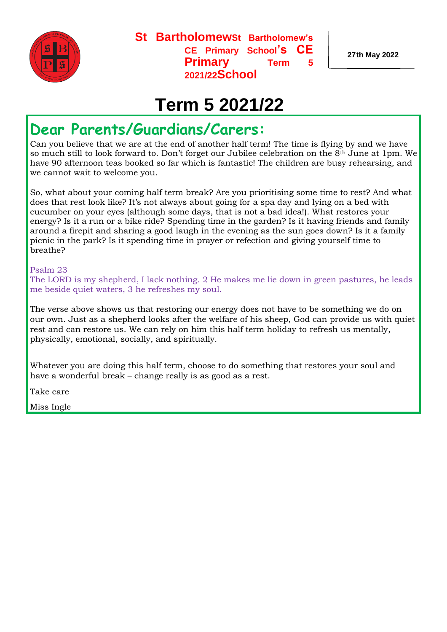

**St BartholomewSt Bartholomew's CE Primary School's CE Primary Term 2021/22School** 

**27th May 2022**

## **Term 5 2021/22**

## **Dear Parents/Guardians/Carers:**

Can you believe that we are at the end of another half term! The time is flying by and we have so much still to look forward to. Don't forget our Jubilee celebration on the 8th June at 1pm. We have 90 afternoon teas booked so far which is fantastic! The children are busy rehearsing, and we cannot wait to welcome you.

So, what about your coming half term break? Are you prioritising some time to rest? And what does that rest look like? It's not always about going for a spa day and lying on a bed with cucumber on your eyes (although some days, that is not a bad idea!). What restores your energy? Is it a run or a bike ride? Spending time in the garden? Is it having friends and family around a firepit and sharing a good laugh in the evening as the sun goes down? Is it a family picnic in the park? Is it spending time in prayer or refection and giving yourself time to breathe?

#### Psalm 23

The LORD is my shepherd, I lack nothing. 2 He makes me lie down in green pastures, he leads me beside quiet waters, 3 he refreshes my soul.

The verse above shows us that restoring our energy does not have to be something we do on our own. Just as a shepherd looks after the welfare of his sheep, God can provide us with quiet rest and can restore us. We can rely on him this half term holiday to refresh us mentally, physically, emotional, socially, and spiritually.

Whatever you are doing this half term, choose to do something that restores your soul and have a wonderful break – change really is as good as a rest.

Take care

Miss Ingle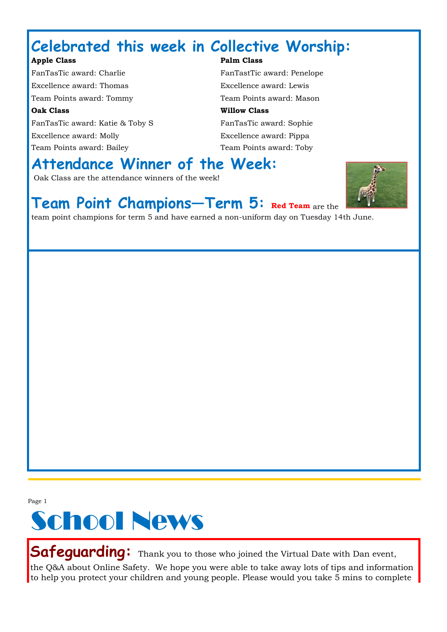## **Celebrated this week in Collective Worship:**

#### Apple Class **Palm Class Palm Class**

FanTasTic award: Charlie FanTastTic award: Penelope Excellence award: Thomas Excellence award: Lewis Team Points award: Tommy Team Points award: Mason **Oak Class Willow Class**  FanTasTic award: Katie & Toby S<br>FanTasTic award: Sophie Excellence award: Molly Excellence award: Pippa Team Points award: Bailey Team Points award: Toby

## **Attendance Winner of the Week:**

Oak Class are the attendance winners of the week!



#### **Team Point Champions—Term 5: Red Team** are the

team point champions for term 5 and have earned a non-uniform day on Tuesday 14th June.

Page 1



**Safeguarding:** Thank you to those who joined the Virtual Date with Dan event, the Q&A about Online Safety. We hope you were able to take away lots of tips and information to help you protect your children and young people. Please would you take 5 mins to complete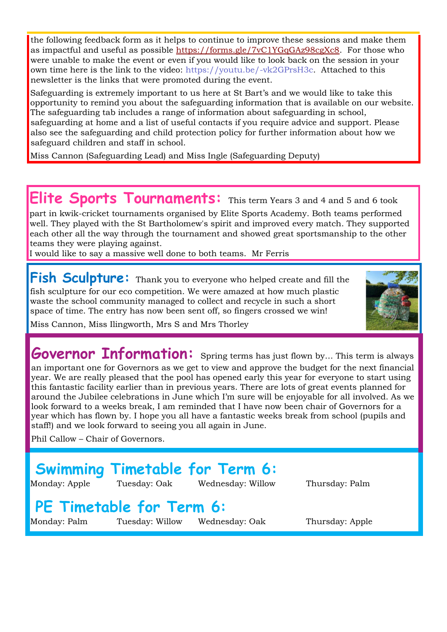the following feedback form as it helps to continue to improve these sessions and make them as impactful and useful as possible [https://forms.gle/7vC1YGqGAz98cgXc8.](https://forms.gle/7vC1YGqGAz98cgXc8) For those who were unable to make the event or even if you would like to look back on the session in your own time here is the link to the video: [https://youtu.be/-vk2GPrsH3c.](https://youtu.be/-vk2GPrsH3c) Attached to this newsletter is the links that were promoted during the event.

Safeguarding is extremely important to us here at St Bart's and we would like to take this opportunity to remind you about the safeguarding information that is available on our website. The safeguarding tab includes a range of information about safeguarding in school, safeguarding at home and a list of useful contacts if you require advice and support. Please also see the safeguarding and child protection policy for further information about how we safeguard children and staff in school.

Miss Cannon (Safeguarding Lead) and Miss Ingle (Safeguarding Deputy)

#### **Elite Sports Tournaments:** This term Years 3 and 4 and 5 and 6 took

part in kwik-cricket tournaments organised by Elite Sports Academy. Both teams performed well. They played with the St Bartholomew's spirit and improved every match. They supported each other all the way through the tournament and showed great sportsmanship to the other teams they were playing against.

I would like to say a massive well done to both teams. Mr Ferris

**Fish Sculpture:** Thank you to everyone who helped create and fill the fish sculpture for our eco competition. We were amazed at how much plastic waste the school community managed to collect and recycle in such a short space of time. The entry has now been sent off, so fingers crossed we win!



**Governor Information:** Spring terms has just flown by... This term is always an important one for Governors as we get to view and approve the budget for the next financial year. We are really pleased that the pool has opened early this year for everyone to start using this fantastic facility earlier than in previous years. There are lots of great events planned for around the Jubilee celebrations in June which I'm sure will be enjoyable for all involved. As we look forward to a weeks break, I am reminded that I have now been chair of Governors for a year which has flown by. I hope you all have a fantastic weeks break from school (pupils and staff!) and we look forward to seeing you all again in June.

Phil Callow – Chair of Governors.

## **Swimming Timetable for Term 6:**

Monday: Apple Tuesday: Oak Wednesday: Willow Thursday: Palm

#### **PE Timetable for Term 6:**

Monday: Palm Tuesday: Willow Wednesday: Oak Thursday: Apple

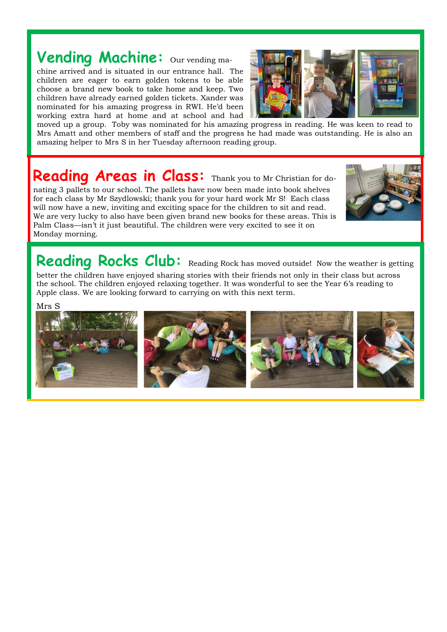## Vending Machine: Our vending ma-

chine arrived and is situated in our entrance hall. The children are eager to earn golden tokens to be able choose a brand new book to take home and keep. Two children have already earned golden tickets. Xander was nominated for his amazing progress in RWI. He'd been working extra hard at home and at school and had



moved up a group. Toby was nominated for his amazing progress in reading. He was keen to read to Mrs Amatt and other members of staff and the progress he had made was outstanding. He is also an amazing helper to Mrs S in her Tuesday afternoon reading group.

## **Reading Areas in Class:** Thank you to Mr Christian for do-

nating 3 pallets to our school. The pallets have now been made into book shelves for each class by Mr Szydlowski; thank you for your hard work Mr S! Each class will now have a new, inviting and exciting space for the children to sit and read. We are very lucky to also have been given brand new books for these areas. This is Palm Class—isn't it just beautiful. The children were very excited to see it on Monday morning.



#### **Reading Rocks Club:** Reading Rock has moved outside! Now the weather is getting better the children have enjoyed sharing stories with their friends not only in their class but across

the school. The children enjoyed relaxing together. It was wonderful to see the Year 6's reading to Apple class. We are looking forward to carrying on with this next term.

Mrs S

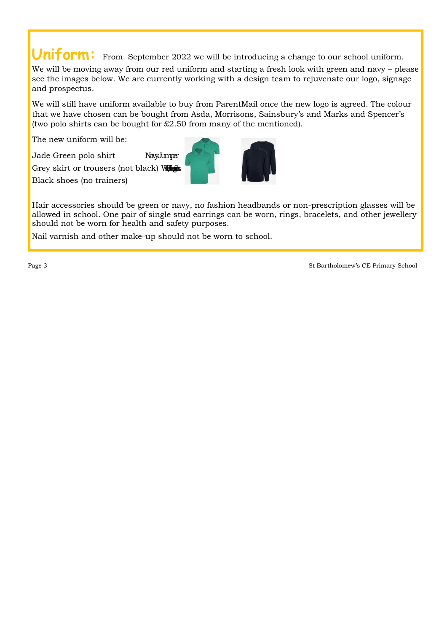**Uniform:** From September 2022 we will be introducing a change to our school uniform.

We will be moving away from our red uniform and starting a fresh look with green and navy – please see the images below. We are currently working with a design team to rejuvenate our logo, signage and prospectus.

We will still have uniform available to buy from ParentMail once the new logo is agreed. The colour that we have chosen can be bought from Asda, Morrisons, Sainsbury's and Marks and Spencer's (two polo shirts can be bought for  $£2.50$  from many of the mentioned).

The new uniform will be:

Jade Green polo shirt Navy Namper

Grey skirt or trousers (not black) Williams Black shoes (no trainers)



Hair accessories should be green or navy, no fashion headbands or non-prescription glasses will be allowed in school. One pair of single stud earrings can be worn, rings, bracelets, and other jewellery should not be worn for health and safety purposes.

Nail varnish and other make-up should not be worn to school.

Page 3 St Bartholomew's CE Primary School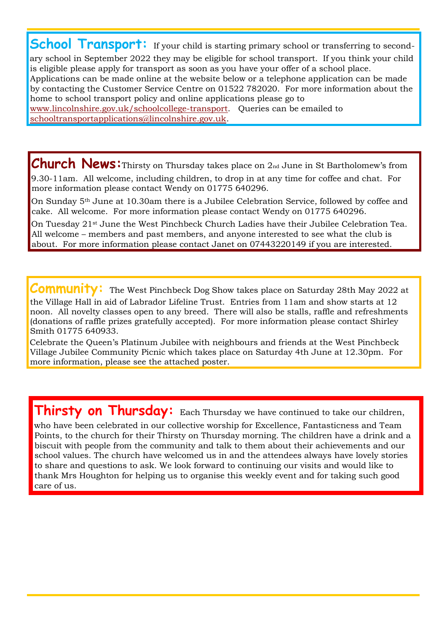**School Transport:** If your child is starting primary school or transferring to secondary school in September 2022 they may be eligible for school transport. If you think your child is eligible please apply for transport as soon as you have your offer of a school place. Applications can be made online at the website below or a telephone application can be made by contacting the Customer Service Centre on 01522 782020. For more information about the home to school transport policy and online applications please go to [www.lincolnshire.gov.uk/schoolcollege-transport.](http://www.lincolnshire.gov.uk/school-college-transport) Queries can be emailed to schooltransportapplications@lincolnshire.gov.uk.

**Church News:**Thirsty on Thursday takes place on 2nd June in St Bartholomew's from 9.30-11am. All welcome, including children, to drop in at any time for coffee and chat. For more information please contact Wendy on 01775 640296.

On Sunday 5th June at 10.30am there is a Jubilee Celebration Service, followed by coffee and cake. All welcome. For more information please contact Wendy on 01775 640296.

On Tuesday 21<sup>st</sup> June the West Pinchbeck Church Ladies have their Jubilee Celebration Tea. All welcome – members and past members, and anyone interested to see what the club is about. For more information please contact Janet on 07443220149 if you are interested.

**Community:** The West Pinchbeck Dog Show takes place on Saturday 28th May 2022 at

the Village Hall in aid of Labrador Lifeline Trust. Entries from 11am and show starts at 12 noon. All novelty classes open to any breed. There will also be stalls, raffle and refreshments (donations of raffle prizes gratefully accepted). For more information please contact Shirley Smith 01775 640933.

Celebrate the Queen's Platinum Jubilee with neighbours and friends at the West Pinchbeck Village Jubilee Community Picnic which takes place on Saturday 4th June at 12.30pm. For more information, please see the attached poster.

**Thirsty on Thursday:** Each Thursday we have continued to take our children,

who have been celebrated in our collective worship for Excellence, Fantasticness and Team Points, to the church for their Thirsty on Thursday morning. The children have a drink and a biscuit with people from the community and talk to them about their achievements and our school values. The church have welcomed us in and the attendees always have lovely stories to share and questions to ask. We look forward to continuing our visits and would like to thank Mrs Houghton for helping us to organise this weekly event and for taking such good care of us.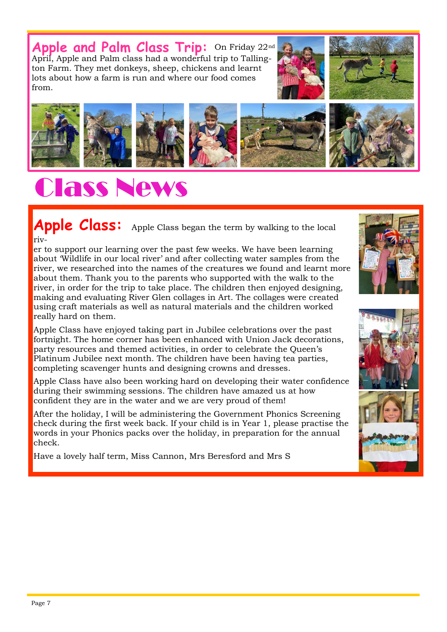**Apple and Palm Class Trip:** On Friday 22nd April, Apple and Palm class had a wonderful trip to Tallington Farm. They met donkeys, sheep, chickens and learnt lots about how a farm is run and where our food comes from.







# Class News

Apple Class: Apple Class began the term by walking to the local riv-

er to support our learning over the past few weeks. We have been learning about 'Wildlife in our local river' and after collecting water samples from the river, we researched into the names of the creatures we found and learnt more about them. Thank you to the parents who supported with the walk to the river, in order for the trip to take place. The children then enjoyed designing, making and evaluating River Glen collages in Art. The collages were created using craft materials as well as natural materials and the children worked really hard on them.

Apple Class have enjoyed taking part in Jubilee celebrations over the past fortnight. The home corner has been enhanced with Union Jack decorations, party resources and themed activities, in order to celebrate the Queen's Platinum Jubilee next month. The children have been having tea parties, completing scavenger hunts and designing crowns and dresses.

Apple Class have also been working hard on developing their water confidence during their swimming sessions. The children have amazed us at how confident they are in the water and we are very proud of them!

After the holiday, I will be administering the Government Phonics Screening check during the first week back. If your child is in Year 1, please practise the words in your Phonics packs over the holiday, in preparation for the annual check.

Have a lovely half term, Miss Cannon, Mrs Beresford and Mrs S





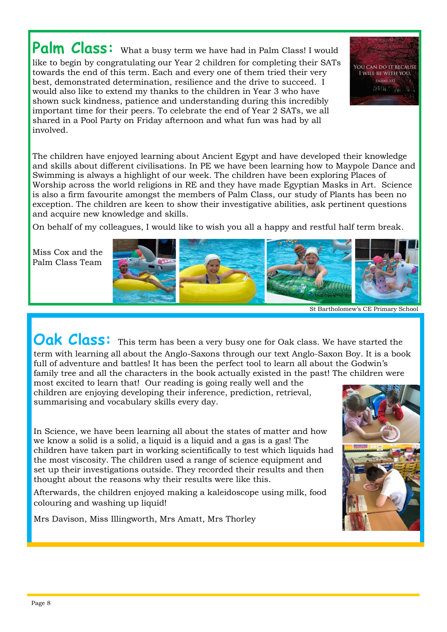Palm Class: What a busy term we have had in Palm Class! I would like to begin by congratulating our Year 2 children for completing their SATs towards the end of this term. Each and every one of them tried their very best, demonstrated determination, resilience and the drive to succeed. I would also like to extend my thanks to the children in Year 3 who have shown suck kindness, patience and understanding during this incredibly important time for their peers. To celebrate the end of Year 2 SATs, we all shared in a Pool Party on Friday afternoon and what fun was had by all involved.

YOU CAN DO IT BECAUSE I WILL BE WITH YOU. EXODUS 3:12 20121302016

The children have enjoyed learning about Ancient Egypt and have developed their knowledge and skills about different civilisations. In PE we have been learning how to Maypole Dance and Swimming is always a highlight of our week. The children have been exploring Places of Worship across the world religions in RE and they have made Egyptian Masks in Art. Science is also a firm favourite amongst the members of Palm Class, our study of Plants has been no exception. The children are keen to show their investigative abilities, ask pertinent questions and acquire new knowledge and skills.

On behalf of my colleagues, I would like to wish you all a happy and restful half term break.

Miss Cox and the Palm Class Team



St Bartholomew's CE Primary School

**Oak Class:** This term has been a very busy one for Oak class. We have started the term with learning all about the Anglo-Saxons through our text Anglo-Saxon Boy. It is a book

full of adventure and battles! It has been the perfect tool to learn all about the Godwin's family tree and all the characters in the book actually existed in the past! The children were most excited to learn that! Our reading is going really well and the children are enjoying developing their inference, prediction, retrieval,

summarising and vocabulary skills every day.

In Science, we have been learning all about the states of matter and how we know a solid is a solid, a liquid is a liquid and a gas is a gas! The children have taken part in working scientifically to test which liquids had the most viscosity. The children used a range of science equipment and set up their investigations outside. They recorded their results and then thought about the reasons why their results were like this.

Afterwards, the children enjoyed making a kaleidoscope using milk, food colouring and washing up liquid!

Mrs Davison, Miss Illingworth, Mrs Amatt, Mrs Thorley

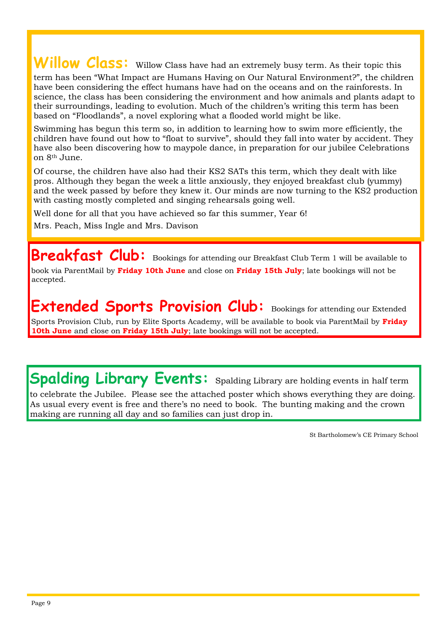## Willow Class: Willow Class have had an extremely busy term. As their topic this

term has been "What Impact are Humans Having on Our Natural Environment?", the children have been considering the effect humans have had on the oceans and on the rainforests. In science, the class has been considering the environment and how animals and plants adapt to their surroundings, leading to evolution. Much of the children's writing this term has been based on "Floodlands", a novel exploring what a flooded world might be like.

Swimming has begun this term so, in addition to learning how to swim more efficiently, the children have found out how to "float to survive", should they fall into water by accident. They have also been discovering how to maypole dance, in preparation for our jubilee Celebrations on 8th June.

Of course, the children have also had their KS2 SATs this term, which they dealt with like pros. Although they began the week a little anxiously, they enjoyed breakfast club (yummy) and the week passed by before they knew it. Our minds are now turning to the KS2 production with casting mostly completed and singing rehearsals going well.

Well done for all that you have achieved so far this summer, Year 6! Mrs. Peach, Miss Ingle and Mrs. Davison

**Breakfast Club:** Bookings for attending our Breakfast Club Term 1 will be available to book via ParentMail by **Friday 10th June** and close on **Friday 15th July**; late bookings will not be accepted.

**Extended Sports Provision Club:** Bookings for attending our Extended Sports Provision Club, run by Elite Sports Academy, will be available to book via ParentMail by **Friday 10th June** and close on **Friday 15th July**; late bookings will not be accepted.

**Spalding Library Events:** Spalding Library are holding events in half term

to celebrate the Jubilee. Please see the attached poster which shows everything they are doing. As usual every event is free and there's no need to book. The bunting making and the crown making are running all day and so families can just drop in.

St Bartholomew's CE Primary School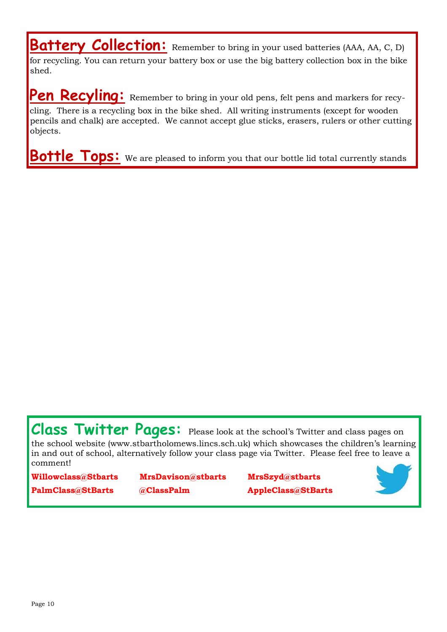**Battery Collection:** Remember to bring in your used batteries (AAA, AA, C, D) for recycling. You can return your battery box or use the big battery collection box in the bike shed.

Pen Recyling: Remember to bring in your old pens, felt pens and markers for recycling. There is a recycling box in the bike shed. All writing instruments (except for wooden pencils and chalk) are accepted. We cannot accept glue sticks, erasers, rulers or other cutting objects.

**Bottle Tops:** We are pleased to inform you that our bottle lid total currently stands

Class Twitter Pages: Please look at the school's Twitter and class pages on the school website (www.stbartholomews.lincs.sch.uk) which showcases the children's learning in and out of school, alternatively follow your class page via Twitter. Please feel free to leave a comment!

**Willowclass@Stbarts MrsDavison@stbarts MrsSzyd@stbarts PalmClass@StBarts @ClassPalm AppleClass@StBarts**

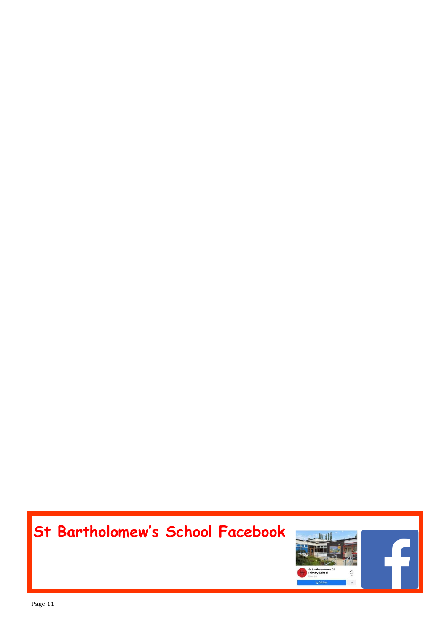## **St Bartholomew's School Facebook**

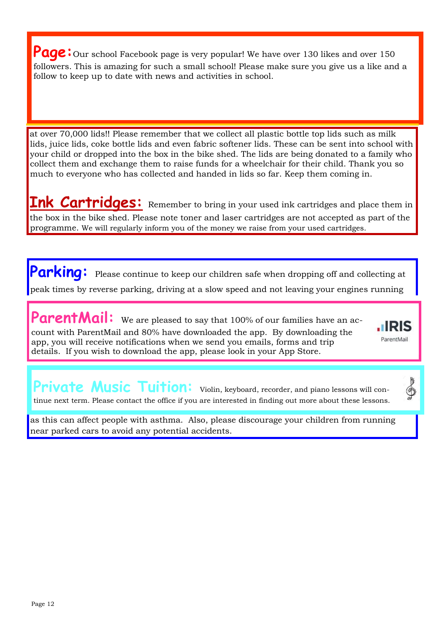**Page:** Our school Facebook page is very popular! We have over 130 likes and over 150 followers. This is amazing for such a small school! Please make sure you give us a like and a follow to keep up to date with news and activities in school.

at over 70,000 lids!! Please remember that we collect all plastic bottle top lids such as milk lids, juice lids, coke bottle lids and even fabric softener lids. These can be sent into school with your child or dropped into the box in the bike shed. The lids are being donated to a family who collect them and exchange them to raise funds for a wheelchair for their child. Thank you so much to everyone who has collected and handed in lids so far. Keep them coming in.

**Ink Cartridges:** Remember to bring in your used ink cartridges and place them in the box in the bike shed. Please note toner and laser cartridges are not accepted as part of the programme. We will regularly inform you of the money we raise from your used cartridges.

**Parking:** Please continue to keep our children safe when dropping off and collecting at peak times by reverse parking, driving at a slow speed and not leaving your engines running

ParentMail: We are pleased to say that 100% of our families have an account with ParentMail and 80% have downloaded the app. By downloading the app, you will receive notifications when we send you emails, forms and trip details. If you wish to download the app, please look in your App Store.



</u>

Private Music Tuition: Violin, keyboard, recorder, and piano lessons will continue next term. Please contact the office if you are interested in finding out more about these lessons.

as this can affect people with asthma. Also, please discourage your children from running near parked cars to avoid any potential accidents.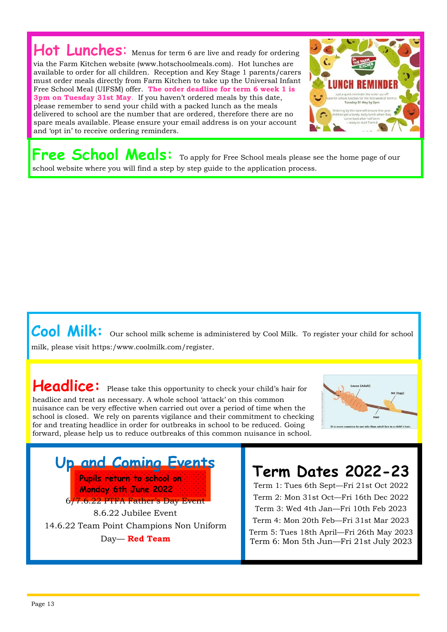#### Hot Lunches: Menus for term 6 are live and ready for ordering via the Farm Kitchen website (www.hotschoolmeals.com). Hot lunches are available to order for all children. Reception and Key Stage 1 parents/carers must order meals directly from Farm Kitchen to take up the Universal Infant Free School Meal (UIFSM) offer. **The order deadline for term 6 week 1 is 3pm on Tuesday 31st May**. If you haven't ordered meals by this date, please remember to send your child with a packed lunch as the meals delivered to school are the number that are ordered, therefore there are no spare meals available. Please ensure your email address is on your account and 'opt in' to receive ordering reminders.



**Free School Meals:** To apply for Free School meals please see the home page of our school website where you will find a step by step guide to the application process.

#### Cool Milk: Our school milk scheme is administered by Cool Milk. To register your child for school milk, please visit https:/www.coolmilk.com/register.

#### Headlice: Please take this opportunity to check your child's hair for headlice and treat as necessary. A whole school 'attack' on this common nuisance can be very effective when carried out over a period of time when the school is closed. We rely on parents vigilance and their commitment to checking for and treating headlice in order for outbreaks in school to be reduced. Going forward, please help us to reduce outbreaks of this common nuisance in school.



**Up and Coming Events Pupils return to school on Monday 6th June 2022** 6/7.6.22 PTFA Father's Day Event 8.6.22 Jubilee Event 14.6.22 Team Point Champions Non Uniform Day— **Red Team** 

## **Term Dates 2022-23**

Term 1: Tues 6th Sept—Fri 21st Oct 2022 Term 2: Mon 31st Oct—Fri 16th Dec 2022 Term 3: Wed 4th Jan—Fri 10th Feb 2023 Term 4: Mon 20th Feb—Fri 31st Mar 2023 Term 5: Tues 18th April—Fri 26th May 2023 Term 6: Mon 5th Jun—Fri 21st July 2023